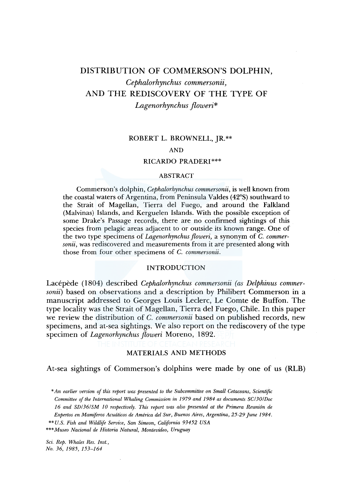# DISTRIBUTION OF COMMERSON'S DOLPHIN, *Cephalorhynchus commersonii,*  AND THE REDISCOVERY OF THE TYPE OF

*Lagenorhynchus floweri\** 

# ROBERT L. BROWNELL, JR.\*\*

# AND

# RICARDO PRADER!\*\*\*

### ABSTRACT

Commerson's dolphin, *Cephalorhynchus commersonii,* is well known from the coastal waters of Argentina, from Peninsula Valdes (42°S) southward to the Strait of Magellan, Tierra del Fuego, and around the Falkland (Malvinas) Islands, and Kerguelen Islands. With the possible exception of some Drake's Passage records, there are no confirmed sightings of this species from pelagic areas adjacent to or outside its known range. One of the two type specimens of *Lagenorhynchus floweri,* a synonym of C. *commersonii,* was rediscovered and measurements from it are presented along with those from four other specimens of C. *commersonii.* 

# INTRODUCTION

Lacépède (1804) described *Cephalorhynchus commersonii (as Delphinus commersonii)* based on observations and a description by Philibert Commerson in a manuscript addressed to Georges Louis Leclerc, Le Comte de Buffon. The type locality was the Strait of Magellan, Tierra del Fuego, Chile. In this paper we review the distribution of C. *commersonii* based on published records, new specimens, and at-sea sightings. We also report on the rediscovery of the type specimen of *Lagenorhynchus floweri* Moreno, 1892.

# MATERIALS AND METHODS

At-sea sightings of Commerson's dolphins were made by one of us (RLB)

- *\*\*U.S. Fish and Wildlife Service, San Simeon, California 93452 USA*
- \*\*\* *Museo Nacional de Historia Natural, Montevideo, Uruguay*

*Sci. Rep. Whales Res. Inst.,* 

*No. 36, 1985, 153-164* 

*<sup>\*</sup>An earlier version of this report was presented to the Subcommittee on Small Cetaceans, Scientific Committee of the International Whaling Commission in 1979 and 1984 as documents SC/30/Doc 16 and SD/36/SM JO respectively. This report was also presented at the Primera Reunion de Expertos en Mamiferos Acwiticos de America del Sur, Buenos Aires, Argentina, 25-29 June 1984.*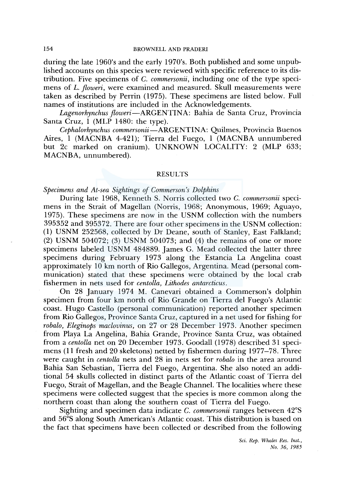during the late 1960's and the early 1970's. Both published and some unpublished accounts on this species were reviewed with specific reference to its distribution. Five specimens of C. *commersonii,* including one of the type specimens of *L. jloweri,* were examined and measured. Skull measurements were taken as described by Perrin (1975). These specimens are listed below. Full names of institutions are included in the Acknowledgements.

*Lagenorhynchus jloweri-ARGENTINA:* Bahia de Santa Cruz, Provincia Santa Cruz, 1 (MLP 1480: the type).

*Cephalorhynchus commersonii-ARGENTINA:* Quilmes, Provincia Buenos Aires, 1 (MACNBA 4-421); Tierra del Fuego, 1 (MACNBA unnumbered but 2c marked on cranium). UNKNOWN LOCALITY: 2 (MLP 633; MACNBA, unnumbered).

# RESULTS

# *Specimens and At-sea Sightings of Commerson's Dolphins*

During late 1968, Kenneth S. Norris collected two C. *commersonii* specimens in the Strait of Magellan (Norris, 1968; Anonymous, 1969; Aguayo, 1975). These specimens are now in the USNM collection with the numbers 395352 and 395372. There are four other specimens in the USNM collection: (1) USNM 252568, collected by Dr Deane, south of Stanley, East Falkland; (2) USNM 504072; (3) USNM 504073; and (4) the remains of one or more specimens labeled USNM 484889. James G. Mead collected the latter three specimens during February 1973 along the Estancia La Angelina coast approximately 10 km north of Rio Gallegos, Argentina. Mead (personal communication) stated that these specimens were obtained by the local crab fishermen in nets used for *centolla, Lithodes antarcticus.* 

On 28 January 1974 M. Canevari obtained a Commerson's dolphin specimen from four km north of Rio Grande on Tierra del Fuego's Atlantic coast. Hugo Castello (personal communication) reported another specimen from Rio Gallegos, Province Santa Cruz, captured in a net used for fishing for *robalo, Eleginops maclovinus,* on 27 or 28 December 1973. Another specimen from Playa La Angelina, Bahia Grande, Province Santa Cruz, was obtained from a *centolla* net on 20 December 1973. Goodall (1978) described 31 specimens (11 fresh and 20 skeletons) netted by fishermen during 1977-78. Three were caught in *centolla* nets and 28 in nets set for *robalo* in the area around Bahia San Sebastian, Tierra del Fuego, Argentina. She also noted an additional 54 skulls collected in distinct parts of the Atlantic coast of Tierra del Fuego, Strait of Magellan, and the Beagle Channel. The localities where these specimens were collected suggest that the species is more common along the northern coast than along the southern coast of Tierra del Fuego.

Sighting and specimen data indicate C. *commersonii* ranges between 42°S and 56°S along South American's Atlantic coast. This distribution is based on the fact that specimens have been collected or described from the following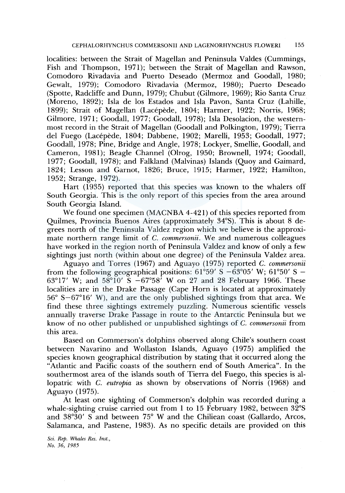localities: between the Strait of Magellan and Peninsula Valdes (Cummings, Fish and Thompson, 1971); between the Strait of Magellan and Rawson, Comodoro Rivadavia and Puerto Deseado (Mermoz and Goodall, 1980; Gewalt, 1979); Comodoro Rivadavia (Mermoz, 1980); Puerto Deseado (Spotte, Radcliffe and Dunn, 1979); Chubut (Gilmore, 1969); Rio Santa Cruz (Moreno, 1892); Isla de los Estados and Isla Pavon, Santa Cruz (Lahille, 1899); Strait of Magellan (Lacépède, 1804; Harmer, 1922; Norris, 1968; Gilmore, 1971; Goodall, 1977; Goodall, 1978); Isla Desolacion, the westernmost record in the Strait of Magellan (Goodall and Polkington, 1979); Tierra del Fuego (Lacépède, 1804; Dabbene, 1902; Marelli, 1953; Goodall, 1977; Goodall, 1978; Pine, Bridge and Angle, 1978; Lockyer, Smellie, Goodall, and Cameron, 1981); Beagle Channel (Olrog, 1950; Brownell, 1974; Goodall, 1977; Goodall, 1978); and Falkland (Malvinas) Islands (Quoy and Gaimard, 1824; Lesson and Carnot, 1826; Bruce, 1915; Harmer, 1922; Hamilton, 1952; Strange, 1972).

Hart (1935) reported that this species was known to the whalers off South Georgia. This is the only report of this species from the area around South Georgia Island.

We found one specimen (MACNBA 4-421) of this species reported from Quilmes, Provincia Buenos Aires (approximately 34°S). This is about 8 degrees north of the Peninsula Valdez region which we believe is the approximate northern range limit of C. *commersonii.* We and numerous colleagues have worked in the region north of Peninsula Valdez and know of only a few sightings just north (within about one degree) of the Peninsula Valdez area.

Aguayo and Torres (1967) and Aguayo (1975) reported C. *commersonii*  from the following geographical positions:  $61^{\circ}59'$  S  $-63^{\circ}05'$  W;  $61^{\circ}50'$  S  $-$ 63°17' W; and  $58^{\circ}10'$  S  $-67^{\circ}58'$  W on 27 and 28 February 1966. These localities are in the Drake Passage (Cape Horn is located at approximately 56° S-67°16' W), and are the only published sightings from that area. We find these three sightings extremely puzzling. Numerous scientific vessels annually traverse Drake Passage in route to the Antarctic Peninsula but we know of no other published or unpublished sightings of C. *commersonii* from this area.

Based on Commerson's dolphins observed along Chile's southern coast between Navarino and Wollaston Islands, Aguayo (1975) amplified the species known geographical distribution by stating that it occurred along the "Atlantic and Pacific coasts of the southern end of South America". In the southermost area of the islands south of Tierra del Fuego, this species is allopatric with C. *eutropia* as shown by observations of Norris (1968) and Aguayo (1975).

At least one sighting of Commerson's dolphin was recorded during a whale-sighting cruise carried out from 1 to 15 February 1982, between 32°S and 38°30' S and between 75° W and the Chiliean coast (Gallardo, Arcos, Salamanca, and Pastene, 1983). As no specific details are provided on this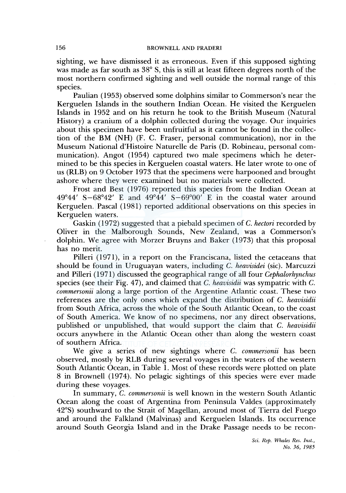sighting, we have dismissed it as erroneous. Even if this supposed sighting was made as far south as 38° S, this is still at least fifteen degrees north of the most northern confirmed sighting and well outside the normal range of this species.

Paulian (1953) observed some dolphins similar to Commerson's near the Kerguelen Islands in the southern Indian Ocean. He visited the Kerguelen Islands in 1952 and on his return he took to the British Museum (Natural History) a cranium of a dolphin collected during the voyage. Our inquiries about this specimen have been unfruitful as it cannot be found in the collection of the BM (NH) (F. C. Fraser, personal communication), nor in the Museum National d'Histoire Naturelle de Paris (D. Robineau, personal communication). Angot (1954) captured two male specimens which he determined to be this species in Kerguelen coastal waters. He later wrote to one of us (RLB) on 9 October 1973 that the specimens were harpooned and brought ashore where they were examined but no materials were collected.

Frost and Best (1976) reported this species from the Indian Ocean at  $49^{\circ}44'$  S-68°42' E and  $49^{\circ}44'$  S-69°00' E in the coastal water around Kerguelen. Pascal ( 1981) reported additional observations on this species in Kerguelen waters.

Gaskin ( 1972) suggested that a piebald specimen of C. *hectori* recorded by Oliver in the Malborough Sounds, New Zealand, was a Commerson's dolphin. We agree with Morzer Bruyns and Baker (1973) that this proposal has no merit.

Pilleri (1971), in a report on the Franciscana, listed the cetaceans that should be found in Uruguayan waters, including C. *heavisidei* (sic). Marcuzzi and Pilleri ( 1971) discussed the geographical range of all four *Cephalorhynchus*  species (see their Fig. 47), and claimed that C. *heavisidii* was sympatric with C. *commersonii* along a large portion of the Argentine Atlantic coast. These two references are the only ones which expand the distribution of C. *heavisidii*  from South Africa, across the whole of the South Atlantic Ocean, to the coast of South America. We know of no specimens, nor any direct observations, published or unpublished, that would support the claim that C. *heavisidii*  occurs anywhere in the Atlantic Ocean other than along the western coast of southern Africa.

We give a series of new sightings where C. *commersonii* has been observed, mostly by RLB during several voyages in the waters of the western South Atlantic Ocean, in Table 1. Most of these records were plotted on plate 8 in Brownell (1974). No pelagic sightings of this species were ever made during these voyages.

In summary, C. *commersonii* is well known in the western South Atlantic Ocean along the coast of Argentina from Peninsula Valdes (approximately 42°S) southward to the Strait of Magellan, around most of Tierra del Fuego and around the Falkland (Malvinas) and Kerguelen Islands. Its occurrence around South Georgia Island and in the Drake Passage needs to be recon-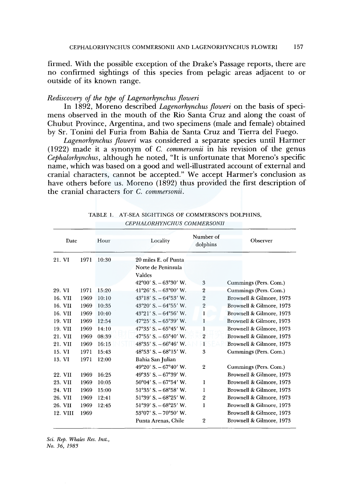firmed. With the possible exception of the Drake's Passage reports, there are no confirmed sightings of this species from pelagic areas adjacent to or outside of its known range.

# *Rediscovery of the type of Lagenorhynchus floweri*

In 1892, Moreno described *Lagenorhynchus floweri* on the basis of specimens observed in the mouth of the Rio Santa Cruz and along the coast of Chubut Province, Argentina, and two specimens (male and female) obtained by Sr. Tonini del Furia from Bahia de Santa Cruz and Tierra del Fuego.

*Lagenorhynchus floweri* was considered a separate species until Harmer ( 1922) made it a synonym of C. *commersonii* in his revision of the genus *Cephalorhynchus,* although he noted, "It is unfortunate that Moreno's specific name, which was based on a good and well-illustrated account of external and cranial characters, cannot be accepted." We accept Harmer's conclusion as have others before us. Moreno (1892) thus provided the first description of the cranial characters for C. *commersonii.* 

| Date     |  |      | Hour  | Locality                               | Number of<br>dolphins | Observer                 |
|----------|--|------|-------|----------------------------------------|-----------------------|--------------------------|
| 21. VI   |  | 1971 | 10:30 | 20 miles E. of Punta                   |                       |                          |
|          |  |      |       | Norte de Peninsula                     |                       |                          |
|          |  |      |       | Valdes                                 |                       |                          |
|          |  |      |       | $42^{\circ}00'$ S. $-63^{\circ}30'$ W. | 3                     | Cummings (Pers. Com.)    |
| 29. VI   |  | 1971 | 15:20 | $41^{\circ}26'$ S. $-63^{\circ}00'$ W. | $\overline{2}$        | Cummings (Pers. Com.)    |
| 16. VII  |  | 1969 | 10:10 | $43^{\circ}18'$ S. $-64^{\circ}53'$ W. | $\overline{2}$        | Brownell & Gilmore, 1973 |
| 16. VII  |  | 1969 | 10:35 | $43^{\circ}20'$ S. $-64^{\circ}55'$ W. | $\overline{2}$        | Brownell & Gilmore, 1973 |
| 16. VII  |  | 1969 | 10:40 | $43^{\circ}21'$ S. $-64^{\circ}56'$ W. | 1                     | Brownell & Gilmore, 1973 |
| 19. VII  |  | 1969 | 12:54 | $47^{\circ}25'$ S. $-65^{\circ}39'$ W. | 1                     | Brownell & Gilmore, 1973 |
| 19. VII  |  | 1969 | 14:10 | $47^{\circ}35'$ S. $-65^{\circ}45'$ W. | 1                     | Brownell & Gilmore, 1973 |
| 21. VII  |  | 1969 | 08:39 | $47^{\circ}55'$ S. $-65^{\circ}40'$ W. | $\overline{2}$        | Brownell & Gilmore, 1973 |
| 21. VII  |  | 1969 | 16:15 | $48^{\circ}35'$ S. $-66^{\circ}46'$ W. | 1                     | Brownell & Gilmore, 1973 |
| 15. VI   |  | 1971 | 15:43 | $48^{\circ}53'$ S. $-68^{\circ}15'$ W. | 3                     | Cummings (Pers. Com.)    |
| 13. VI   |  | 1971 | 12:00 | Bahia San Julian                       |                       |                          |
|          |  |      |       | 49°20′ S. - 67°40′ W.                  | $\overline{2}$        | Cummings (Pers. Com.)    |
| 22. VII  |  | 1969 | 16:25 | 49°35′ S. $-67°39'$ W.                 |                       | Brownell & Gilmore, 1973 |
| 23. VII  |  | 1969 | 10:05 | $50^{\circ}04'$ S. $-67^{\circ}54'$ W. | 1                     | Brownell & Gilmore, 1973 |
| 24. VII  |  | 1969 | 15:00 | $51^{\circ}35'$ S. $-68^{\circ}58'$ W. | 1                     | Brownell & Gilmore, 1973 |
| 26. VII  |  | 1969 | 12:41 | $51^{\circ}39'$ S. $-68^{\circ}25'$ W. | 2                     | Brownell & Gilmore, 1973 |
| 26. VII  |  | 1969 | 12:45 | $51^{\circ}39'$ S. $-68^{\circ}25'$ W. | $\mathbf{I}$          | Brownell & Gilmore, 1973 |
| 12. VIII |  | 1969 |       | $53^{\circ}07'$ S. $-70^{\circ}50'$ W. |                       | Brownell & Gilmore, 1973 |
|          |  |      |       | Punta Arenas, Chile                    | $\overline{2}$        | Brownell & Gilmore, 1973 |

TABLE 1. AT-SEA SIGHTINGS OF COMMERSON'S DOLPHINS, *CEPHALORHYNCHUS COMMERSONII*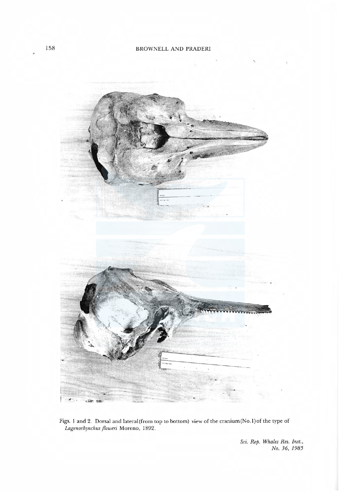

Figs. 1 and 2. Dorsal and lateral (from top to bottom) view of the cranium (No.1) of the type of Lagenorhynchus floweri Moreno, 1892.

> Sci. Rep. Whales Res. Inst., No. 36, 1985

b.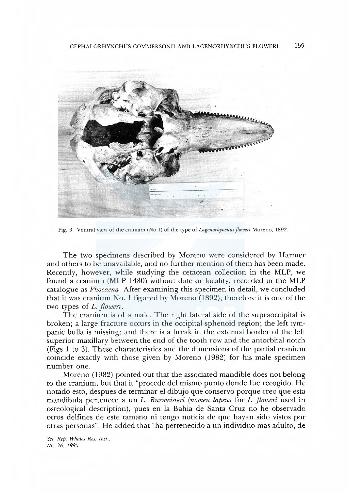

Fig. 3. Ventral view of the cranium (No.1) of the type of Lagenorhynchus floweri Moreno, 1892.

The two specimens described by Moreno were considered by Harmer and others to be unavailable, and no further mention of them has been made. Recently, however, while studying the cetacean collection in the MLP, we found a cranium (MLP 1480) without date or locality, recorded in the MLP catalogue as Phocaena. After examining this specimen in detail, we concluded that it was cranium No. 1 figured by Moreno (1892); therefore it is one of the two types of L. floweri.

The cranium is of a male. The right lateral side of the supraoccipital is broken; a large fracture occurs in the occipital-sphenoid region; the left tympanic bulla is missing; and there is a break in the external border of the left superior maxillary between the end of the tooth row and the antorbital notch (Figs 1 to 3). These characteristics and the dimensions of the partial cranium coincide exactly with those given by Moreno (1982) for his male specimen number one.

Moreno (1982) pointed out that the associated mandible does not belong to the cranium, but that it "procede del mismo punto donde fue recogido. He notado esto, despues de terminar el dibujo que conservo porque reoque esta mandibula pertenece a un L. Burmeisteri (nomen lapsus for L. floweri used in osteological description), pues en la Bahia de Santa Cruz no he observado otros delfines de este tamaño ni tengo noticia de que hayan sido vistos por otras personas". He added that"ha pertenecido a un individuo mas adulto, de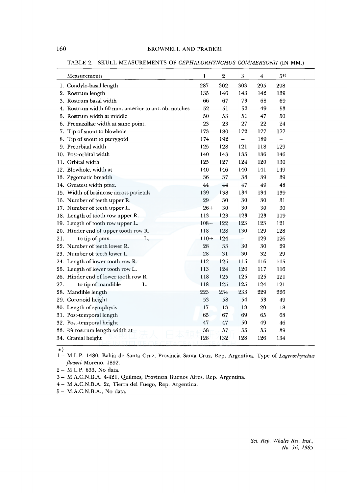# 160 BROWNELL AND PRADERI

TABLE 2. SKULL MEASUREMENTS OF *CEPHALORHYNCHUS COMMERSONII* (IN MM.)

|     | Measurements                                         | 1      | 2   | $\,3$                    | $\overline{\mathbf{4}}$ | $(5*)$ |  |
|-----|------------------------------------------------------|--------|-----|--------------------------|-------------------------|--------|--|
|     | 1. Condylo-basal length                              | 287    | 302 | 303                      | 295                     | 298    |  |
|     | 2. Rostrum length                                    | 135    | 146 | 143                      | 142                     | 139    |  |
|     | 3. Rostrum basal width                               | 66     | 67  | 73                       | 68                      | 69     |  |
|     | 4. Rostrum width 60 mm. anterior to ant. ob. notches | 52     | 51  | 52                       | 49                      | 53     |  |
|     | 5. Rostrum width at middle                           | 50     | 53  | 51                       | 47                      | 50     |  |
|     | 6. Premaxillae width at same point.                  | 23     | 23  | 27                       | 22                      | 24     |  |
|     | 7. Tip of snout to blowhole                          | 173    | 180 | 172                      | 177                     | 177    |  |
|     | 8. Tip of snout to pterygoid                         | 174    | 192 | $\overline{\phantom{0}}$ | 189                     |        |  |
|     | 9. Preorbital width                                  | 125    | 128 | 121                      | 118                     | 129    |  |
|     | 10. Post-orbital width                               | 140    | 143 | 135                      | 136                     | 146    |  |
|     | 11. Orbital width                                    | 125    | 127 | 124                      | 120                     | 130    |  |
|     | 12. Blowhole, width at                               | 140    | 146 | 140                      | 141                     | 149    |  |
|     | 13. Zygomatic breadth                                | 36     | 37  | 38                       | 39                      | 39     |  |
|     | 14. Greatest width pmx.                              | 44     | 44  | 47                       | 49                      | 48     |  |
|     | 15. Width of braincase across parietals              | 139    | 138 | 134                      | 134                     | 139    |  |
|     | 16. Number of teeth upper R.                         | 29     | 30  | 30                       | 30                      | 31     |  |
|     | 17. Number of teeth upper L.                         | $26+$  | 30  | 30                       | 30                      | 30     |  |
|     | 18. Length of tooth row upper R.                     | 113    | 123 | 123                      | 123                     | 119    |  |
|     | 19. Length of tooth row upper L.                     | $108+$ | 122 | 123                      | 123                     | 121    |  |
|     | 20. Hinder end of upper tooth row R.                 | 118    | 128 | 130                      | 129                     | 128    |  |
| 21. | to tip of pmx.<br>L.                                 | $110+$ | 124 |                          | 129                     | 126    |  |
|     | 22. Number of teeth lower R.                         | 28     | 33  | 30                       | 30                      | 29     |  |
|     | 23. Number of teeth lower L.                         | 28     | 31  | 30                       | 32                      | 29     |  |
|     | 24. Length of lower tooth row R.                     | 112    | 125 | 115                      | 116                     | 115    |  |
|     | 25. Length of lower tooth row L.                     | 113    | 124 | 120                      | 117                     | 116    |  |
|     | 26. Hinder end of lower tooth row R.                 | 118    | 125 | 125                      | 125                     | 121    |  |
| 27. | to tip of mandible<br>L.                             | 118    | 125 | 125                      | 124                     | 121    |  |
|     | 28. Mandible length                                  | 223    | 234 | 233                      | 229                     | 226    |  |
|     | 29. Coronoid height                                  | 53     | 58  | 54                       | 53                      | 49     |  |
|     | 30. Length of symphysis                              | 17     | 13  | 18                       | 20                      | 18     |  |
|     | 31. Post-temporal length                             | 65     | 67  | 69                       | 65                      | 68     |  |
|     | 32. Post-temporal height                             | 47     | 47  | 50                       | 49                      | 46     |  |
|     | 33. 3/4 rostrum length-width at                      | 38     | 37  | 35                       | 35                      | 39     |  |
|     | 34. Cranial height                                   | 128    | 132 | 128                      | 126                     | 134    |  |

\*)

1 - M.L.P. 1480, Bahia de Santa Cruz, Provincia Santa Cruz, Rep. Argentina. Type of *Lagenorhynchus floweri* Moreno, 1892.

2 - M.L.P. 633, No data.

3 - M.A.C.N.B.A. 4-421, Quilmes, Provincia Buenos Aires, Rep. Argentina.

4- M.A.C.N.B.A. 2c, Tierra del Fuego, Rep. Argentina.

5- M.A.C.N.B.A., No data.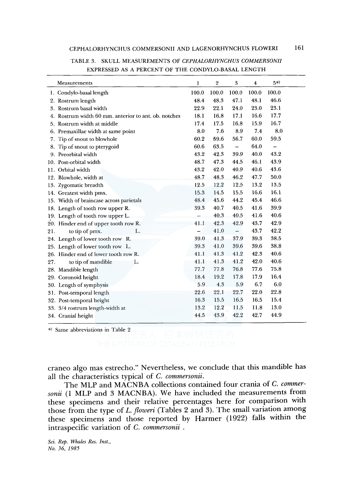|     | Measurements                                         | 1                        | $\,2$ | 3                        | $\overline{\mathbf{4}}$ | 5*)                      |
|-----|------------------------------------------------------|--------------------------|-------|--------------------------|-------------------------|--------------------------|
|     | 1. Condylo-basal length                              | 100.0                    | 100.0 | 100.0                    | 100.0                   | 100.0                    |
|     | 2. Rostrum length                                    | 48.4                     | 48.3  | 47.1                     | 48.1                    | 46.6                     |
|     | 3. Rostrum basal width                               | 22.9                     | 22.1  | 24.0                     | 23.0                    | 23.1                     |
|     | 4. Rostrum width 60 mm. anterior to ant. ob. notches | 18.1                     | 16.8  | 17.1                     | 16.6                    | 17.7                     |
|     | 5. Rostrum width at middle                           | 17.4                     | 17.5  | 16.8                     | 15.9                    | 16.7                     |
|     | 6. Premaxillae width at same point                   | 8.0                      | 7.6   | 8.9                      | 7.4                     | 8.0                      |
|     | 7. Tip of snout to blowhole                          | 60.2                     | 59.6  | 56.7                     | 60.0                    | 59.5                     |
|     | 8. Tip of snout to pterygoid                         | 60.6                     | 63.5  | $\overline{\phantom{0}}$ | 64.0                    | $\overline{\phantom{0}}$ |
|     | 9. Preorbital width                                  | 43.2                     | 42.3  | 39.9                     | 40.0                    | 43.2                     |
|     | 10. Post-orbital width                               | 48.7                     | 47.3  | 44.5                     | 46.1                    | 43.9                     |
|     | 11. Orbital width                                    | 43.2                     | 42.0  | 40.9                     | 40.6                    | 43.6                     |
|     | 12. Blowhole, width at                               | 48.7                     | 48.3  | 46.2                     | 47.7                    | 50.0                     |
|     | 13. Zygomatic breadth                                | 12.5                     | 12.2  | 12.5                     | 13.2                    | 13.5                     |
|     | 14. Greatest width pmx.                              | 15.3                     | 14.5  | 15.5                     | 16.6                    | 16.1                     |
|     | 15. Width of braincase across parietals              | 48.4                     | 45.6  | 44.2                     | 45.4                    | 46.6                     |
|     | 18. Length of tooth row upper R.                     | 39.3                     | 40.7  | 40.5                     | 41.6                    | 39.9                     |
|     | 19. Length of tooth row upper L.                     |                          | 40.3  | 40.5                     | 41.6                    | 40.6                     |
|     | 20. Hinder end of upper tooth row R.                 | 41.1                     | 42.3  | 42.9                     | 43.7                    | 42.9                     |
| 21. | to tip of pmx.<br>L.                                 | $\overline{\phantom{0}}$ | 41.0  | $\qquad \qquad -$        | 43.7                    | 42.2                     |
|     | 24. Length of lower tooth row R.                     | 39.0                     | 41.3  | 37.9                     | 39.3                    | 38.5                     |
|     | 25. Length of lower tooth row L.                     | 39.3                     | 41.0  | 39.6                     | 39.6                    | 38.8                     |
|     | 26. Hinder end of lower tooth row R.                 | 41.1                     | 41.3  | 41.2                     | 42.3                    | 40.6                     |
| 27. | to tip of mandible<br>L.                             | 41.1                     | 41.3  | 41.2                     | 42.0                    | 40.6                     |
|     | 28. Mandible length                                  | 77.7                     | 77.8  | 76.8                     | 77.6                    | 75.8                     |
|     | 29. Coronoid height                                  | 18.4                     | 19.2  | 17.8                     | 17.9                    | 16.4                     |
|     | 30. Length of symphysis                              | 5.9                      | 4.3   | 5.9                      | 6.7                     | 6.0                      |
|     | 31. Post-temporal length                             | 22.6                     | 22.1  | 22.7                     | 22.0                    | 22.8                     |
|     | 32. Post-temporal height                             | 16.3                     | 15.5  | 16.5                     | 16.5                    | 15.4                     |
|     | 33. 3/4 rostrum length-width at                      | 13.2                     | 12.2  | 11.5                     | 11.8                    | 13.0                     |
|     | 34. Cranial height                                   | 44.5                     | 43.9  | 42.2                     | 42.7                    | 44.9                     |

TABLE 3. SKULL MEASUREMENTS OF *CEPHALORHYNCHUS COMMERSONII*  EXPRESSED AS A PERCENT OF THE CONDYLO-BASAL LENGTH

\*) Same abbreviations in Table 2

craneo algo mas estrecho." Nevertheless, we conclude that this mandible has all the characteristics typical of C. *commersonii.* 

The MLP and MACNBA collections contained four crania of C. *commersonii* (1 MLP and 3 MACNBA). We have included the measurements from these specimens and their relative percentages here for comparison with those from the type of *L. jloweri* (Tables 2 and 3). The small variation among these specimens and those reported by Harmer (1922) falls within the intraspecific variation of C. *commersonii* .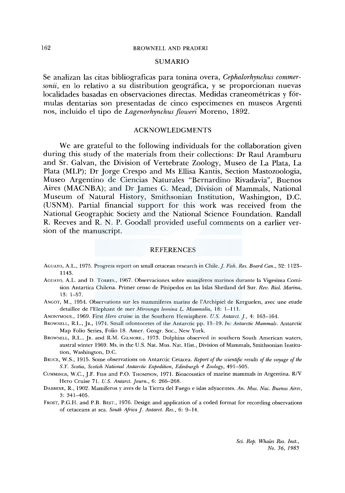# **SUMARIO**

Se analizan las citas bibliograficas para tonina overa, *Cephalorhynchus commersonii,* en lo relativo a su distribution geografica, y se proporcionan nuevas localidades basadas en observaciones directas. Medidas craneometricas y formulas dentarias son presentadas de cinco especimenes en museos Argenti nos, incluido el tipo de *Lagenorhynchus floweri* Moreno, 1892.

# ACKNOWLEDGMENTS

We are grateful to the following individuals for the collaboration given during this study of the materials from their collections: Dr Raul Aramburu and Sr. Galvan, the Division of Vertebrate Zoology, Museo de La Plata, La Plata (MLP); Dr Jorge Crespo and Ms Ellisa Kantis, Section Mastozoologia, Museo Argentino de Ciencias Naturales "Bernardino Rivadavia'', Buenos Aires (MACNBA); and Dr James G. Mead, Division of Mammals, National Museum of Natural History, Smithsonian Institution, Washington, D.C. (USNM). Partial financial support for this work was received from the National Geographic Society and the National Science Foundation. Randall R. Reeves and R. N. P. Goodall provided useful comments on a earlier version of the manuscript.

# **REFERENCES**

- AGUAYO, A.L., 1975. Progress report on small cetacean research in Chile.]. *Fish. Res. Board Can.,* 32: 1123- 1143.
- AGUAYO, A.L. and D. TORRES., 1967. Observaciones sobre mamjferos marinas durante la Vigesima Comision Antartica Chilena. Primer censo de Pinipedos en las Islas Shetland del Sur. *Rev. Biol. Marina*, 13: 1-57.
- ANGOT, M., 1954. Observations sur les mammiferes marins de l'Archipiel de Kerguelen, avec une etude detaillee de !'Elephant de mer *Mirounga leonina* L. *Mammalia,* 18: 1-111.
- ANONYMOUS., 1969. First *Hero* cruise in the Southern Hemisphere. *U.S. Antarct. ].,* 4: 163-164.
- BROWNELL, R.L., JR., 1974. Small odontocetes of the Antarctic pp. 13-19. *In: Antarctic Mammals.* Antarctic Map Folio Series, Folio 18. Amer. Geogr. Soc., New York.
- BROWNELL, R.L., JR. and R.M. GILMORE., 1973. Dolphins observed in southern South American waters, austral winter 1969. Ms. in the U.S. Nat. Mus. Nat. Hist., Division of Mammals, Smithsonian Institution, Washington, D.C.
- BRUCE, W.S., 1915. Some observations on Antarctic Cetacea. *Report of the scientific results of the voyage of the S.Y. Scotia, Scotish National Antarctic Expedition, Edinburgh 4 Zoology,* 491-505.
- CUMMINGS, W.C., J.F. FISH and P.O. THOMPSON, 1971. Bioacoustics of marine mammals in Argentina. R/V Hero Cruise 71. *U.S. Antarct. Journ.,* 6: 266-268.
- DABBENE, R., 1902. Mamiferos y aves de la Tierra de! Fuego e islas adyacentes. *An. Mus. Nac. Buenos Aires,*  3: 341-405.
- FROST, P.G.H. and P.B. BEST., 1976. Design and application of a coded format for recording observations of cetaceans at sea. *South Africa]. Antarct. Res.,* 6: 9-14.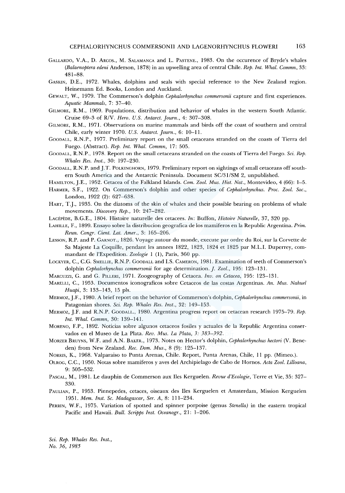- GALLARDO, V.A., D. ARCOS., M. SALAMANCA and L. PASTENE., 1983. On the occurence of Bryde's whales *(Balaenoptera edeni* Anderson, 1878) in an upwelling area of central Chile. *Rep. Int. Whal. Commn,* 33: 481-88.
- GASKIN, D.E., 1972. Whales, dolphins and seals with special reference to the New Zealand region. Heinemann Ed. Books, London and Auckland.
- GEWALT, W., 1979. The Commerson's dolphin *Cephalorhynchus commersonii* capture and first experiences. *Aquatic Mammals,* 7: 37-40.
- GILMORE, R.M., 1969. Populations, distribution and behavior of whales in the western South Atlantic. Cruise 69-3 of R/V. *Hero. U.S. Antarct. journ.,* 4: 307-308.
- GILMORE, R.M., 1971. Observations on marine mammals and birds off the coast of southern and central Chile, early winter 1970. *U.S. Antarct. Journ.,* 6: 10-11.
- GOODALL, R.N.P., 1977. Preliminary report on the small cetaceans stranded on the coasts of Tierra de! Fuego. (Abstract). *Rep. Int. Whal. Commn,* 17: 505.
- GooDALL, R.N.P., 1978. Report on the small cetaceans stranded on the coasts of Tierra de! Fuego. *Sci. Rep. Whales Res. Inst.,* 30: 197-230.
- GOODALL, R.N.P. and J.T. POLKINGHORN, 1979. Preliminary report on sightings of small cetaceans off southern South America and the Antarctic Peninsula. Document SC/31/SM 2, unpublished.
- HAMILTON, J.E., 1952. Cetacea of the Falkland Islands. *Com. Zool. Mus. Hist. Nat.,* Montevideo, 4 (66): 1-5.
- HARMER, S.F., 1922. On Commerson's dolphin and other species of *Cephalorhynchus. Proc. Zool. Soc.,*  London, 1922 (2): 627-638.
- HART, T.J., 1935. On the diatoms of the skin of whales and their possible bearing on problems of whale movements. *Discovery Rep.,* 10: 247-282.
- LACEPEDE, B.G.E., 1804. Histoire naturelle des cetacees. *In:* Buffon, *Histoire Naturelle,* 37, 320 pp.
- LAHILLE, F., 1899. Ensayo sabre la distribucion geografica de los mamiferos en la Republic Argentina. *Prim. Reun. Congr. Cient. Lat. Amer.,* 3: 165-206.
- LESSON, R.P. and P. CARNOT., 1826. Voyage autour du monde, execute par ordre du Roi, sur la Corvette de Sa Majeste La Coquille, pendant les annees 1822, 1823, 1824 et 1825 par M.L.I. Duperrey, commandant de !'Expedition. *Zoologie* 1 (1), Paris, 360 pp.
- LOCKYER, C., C.G. SMELLIE, R.N.P. GOODALL and I.S. CAMERON, 1981. Examination of teeth of Commerson's dolphin *Cephalorhynchus commersonii* for age determination.]. *Zool.,* 195: 123-131.
- MARCuzz1, G. and G. PILLER!, 1971. Zoogeography of Cetacea. *Inv. on Cetacea,* 195: 123-131.
- MARELLI, C., 1953. Documentos iconograficos sabre Cetaceos de !as costas Argentinas. *An. Mus. Nahuel Huapi,* 3: 133-143, 15 pls.
- MERMOZ, J.F., 1980. A brief report on the behavior of Commerson's dolphin, *Cephalorhynchus commersonii,* in Patagonian shores. *Sci. Rep. Whales Res. Inst.,* 32: 149-153.
- MERMOZ, J.F. and R.N.P. GOODALL., 1980. Argentina progress report on cetacean research 1975-79. *Rep. Int. Whal. Commn,* 30: 139-141.
- MORENO, F.P., 1892. Noticias sabre algunos cetaceos fosiles y actuales de la Republic Argentina conservados en el Museo de La Plata. *Rev. Mus. La Plata, 3: 383-392.*
- MoRZER BRUYNS, W.F. and A.N. BAKER., 1973. Notes on Hector's dolphin, *Cephalorhynchus hectori* (V. Beneden) from New Zealand. *Ree. Dom. Mus.,* 8 (9): 125-137.
- NORRIS, K., 1968. Valparaiso to Punta Arenas, Chile. Report, Punta Arenas, Chile, 11 pp. (Mimeo.).
- 0LROG, C.C., 1950. Notas sabre mamiferos y aves de! Archipielago de Caho de Homos. *Acta Zool. Lilloana,*  9: 505-532.
- PASCAL, M., 1981. Le dauphin de Commerson aux Iles Kerguelen. *Revue d'Ecologie,* Terre et Vie, 35: 327- 330.
- PAULIAN, P., 1953. Pinnepedes, cetaces, oiseaux des Iles Kerguelen et Amsterdam, Mission Kerguelen 1951. *Mem. Inst. Sc. Madagascar, Ser. A,* 8: 111-234.
- PERRIN, W.F., 1975. Variation of spotted and spinner porpoise (genus *Stenella)* in the eastern tropical Pacific and Hawaii. *Bull. Scripps Inst. Oceanogr.,* 21: 1-206.